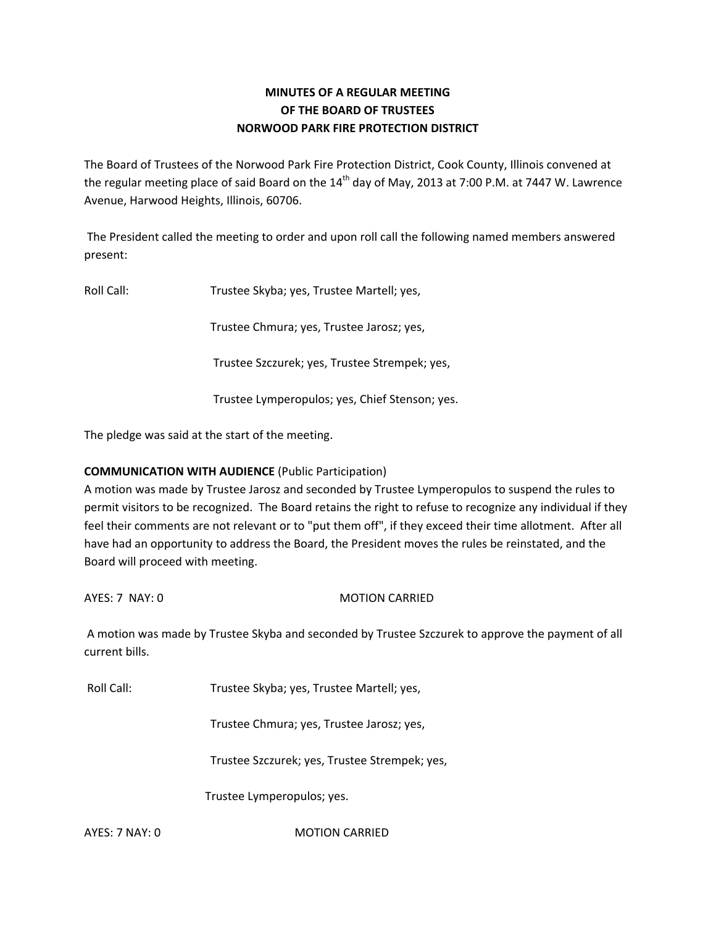# **MINUTES OF A REGULAR MEETING OF THE BOARD OF TRUSTEES NORWOOD PARK FIRE PROTECTION DISTRICT**

The Board of Trustees of the Norwood Park Fire Protection District, Cook County, Illinois convened at the regular meeting place of said Board on the  $14<sup>th</sup>$  day of May, 2013 at 7:00 P.M. at 7447 W. Lawrence Avenue, Harwood Heights, Illinois, 60706.

The President called the meeting to order and upon roll call the following named members answered present:

Roll Call: Trustee Skyba; yes, Trustee Martell; yes,

Trustee Chmura; yes, Trustee Jarosz; yes,

Trustee Szczurek; yes, Trustee Strempek; yes,

Trustee Lymperopulos; yes, Chief Stenson; yes.

The pledge was said at the start of the meeting.

## **COMMUNICATION WITH AUDIENCE** (Public Participation)

A motion was made by Trustee Jarosz and seconded by Trustee Lymperopulos to suspend the rules to permit visitors to be recognized. The Board retains the right to refuse to recognize any individual if they feel their comments are not relevant or to "put them off", if they exceed their time allotment. After all have had an opportunity to address the Board, the President moves the rules be reinstated, and the Board will proceed with meeting.

AYES: 7 NAY: 0 MOTION CARRIED

A motion was made by Trustee Skyba and seconded by Trustee Szczurek to approve the payment of all current bills.

Roll Call: Trustee Skyba; yes, Trustee Martell; yes,

Trustee Chmura; yes, Trustee Jarosz; yes,

Trustee Szczurek; yes, Trustee Strempek; yes,

Trustee Lymperopulos; yes.

AYES: 7 NAY: 0 MOTION CARRIED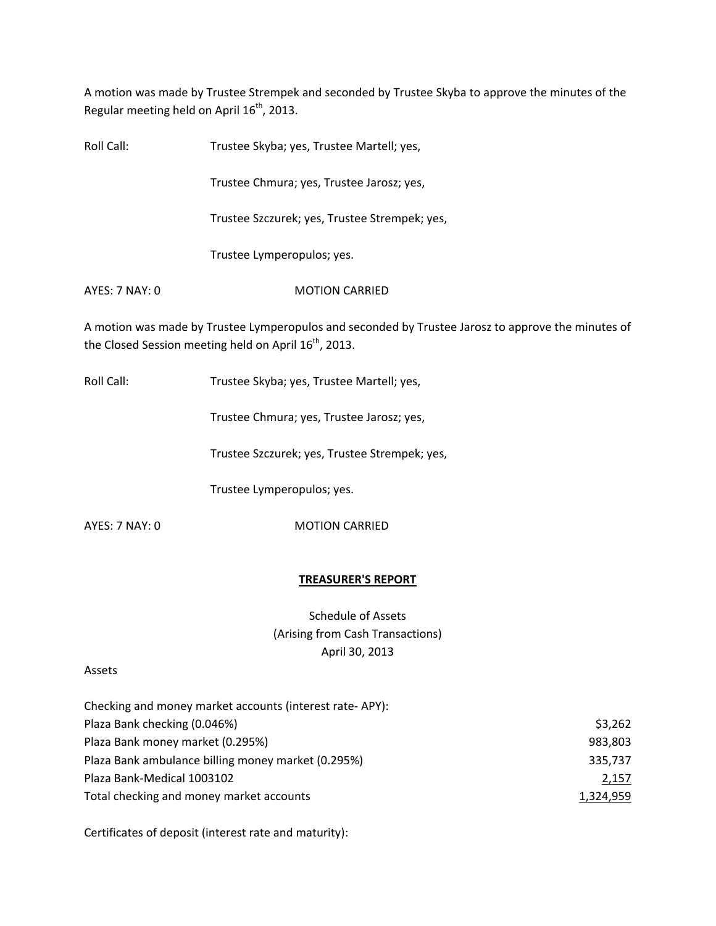A motion was made by Trustee Strempek and seconded by Trustee Skyba to approve the minutes of the Regular meeting held on April 16<sup>th</sup>, 2013.

Roll Call: Trustee Skyba; yes, Trustee Martell; yes, Trustee Chmura; yes, Trustee Jarosz; yes, Trustee Szczurek; yes, Trustee Strempek; yes, Trustee Lymperopulos; yes. AYES: 7 NAY: 0 MOTION CARRIED

A motion was made by Trustee Lymperopulos and seconded by Trustee Jarosz to approve the minutes of the Closed Session meeting held on April 16<sup>th</sup>, 2013.

Roll Call: Trustee Skyba; yes, Trustee Martell; yes,

Trustee Chmura; yes, Trustee Jarosz; yes,

Trustee Szczurek; yes, Trustee Strempek; yes,

Trustee Lymperopulos; yes.

AYES: 7 NAY: 0 MOTION CARRIED

#### **TREASURER'S REPORT**

Schedule of Assets (Arising from Cash Transactions) April 30, 2013

#### Assets

| Checking and money market accounts (interest rate-APY): |           |
|---------------------------------------------------------|-----------|
| Plaza Bank checking (0.046%)                            | \$3,262   |
| Plaza Bank money market (0.295%)                        | 983,803   |
| Plaza Bank ambulance billing money market (0.295%)      | 335,737   |
| Plaza Bank-Medical 1003102                              | 2,157     |
| Total checking and money market accounts                | 1,324,959 |

Certificates of deposit (interest rate and maturity):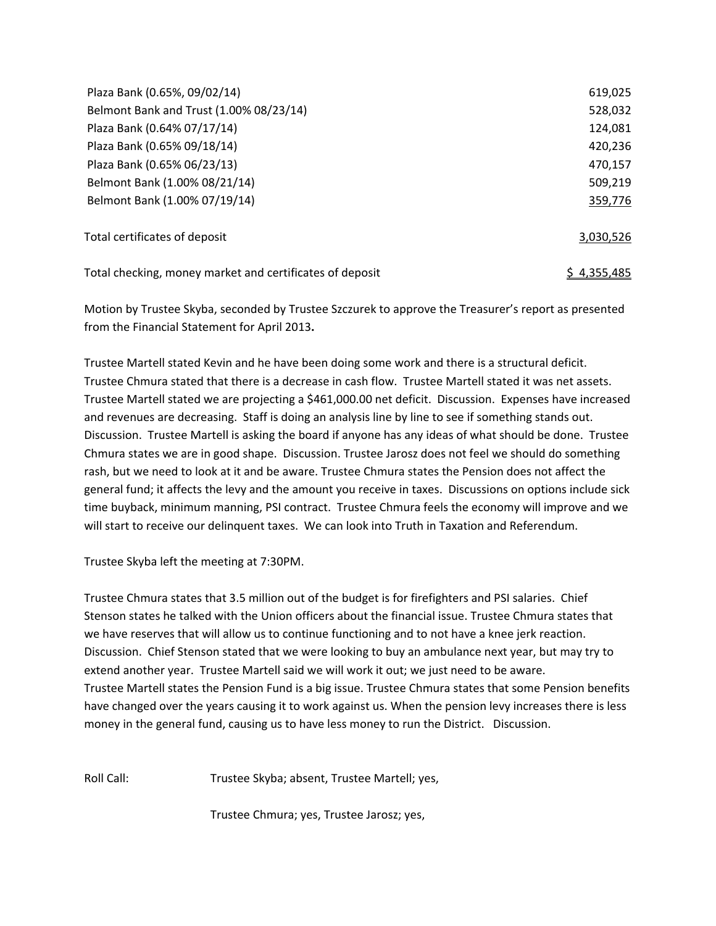| Plaza Bank (0.65%, 09/02/14)                             | 619,025            |
|----------------------------------------------------------|--------------------|
| Belmont Bank and Trust (1.00% 08/23/14)                  | 528,032            |
| Plaza Bank (0.64% 07/17/14)                              | 124,081            |
| Plaza Bank (0.65% 09/18/14)                              | 420,236            |
| Plaza Bank (0.65% 06/23/13)                              | 470,157            |
| Belmont Bank (1.00% 08/21/14)                            | 509,219            |
| Belmont Bank (1.00% 07/19/14)                            | 359,776            |
| Total certificates of deposit                            | 3,030,526          |
| Total checking, money market and certificates of deposit | <u>\$4,355,485</u> |

Motion by Trustee Skyba, seconded by Trustee Szczurek to approve the Treasurer's report as presented from the Financial Statement for April 2013**.**

Trustee Martell stated Kevin and he have been doing some work and there is a structural deficit. Trustee Chmura stated that there is a decrease in cash flow. Trustee Martell stated it was net assets. Trustee Martell stated we are projecting a \$461,000.00 net deficit. Discussion. Expenses have increased and revenues are decreasing. Staff is doing an analysis line by line to see if something stands out. Discussion. Trustee Martell is asking the board if anyone has any ideas of what should be done. Trustee Chmura states we are in good shape. Discussion. Trustee Jarosz does not feel we should do something rash, but we need to look at it and be aware. Trustee Chmura states the Pension does not affect the general fund; it affects the levy and the amount you receive in taxes. Discussions on options include sick time buyback, minimum manning, PSI contract. Trustee Chmura feels the economy will improve and we will start to receive our delinquent taxes. We can look into Truth in Taxation and Referendum.

Trustee Skyba left the meeting at 7:30PM.

Trustee Chmura states that 3.5 million out of the budget is for firefighters and PSI salaries. Chief Stenson states he talked with the Union officers about the financial issue. Trustee Chmura states that we have reserves that will allow us to continue functioning and to not have a knee jerk reaction. Discussion. Chief Stenson stated that we were looking to buy an ambulance next year, but may try to extend another year. Trustee Martell said we will work it out; we just need to be aware. Trustee Martell states the Pension Fund is a big issue. Trustee Chmura states that some Pension benefits have changed over the years causing it to work against us. When the pension levy increases there is less money in the general fund, causing us to have less money to run the District. Discussion.

Roll Call: Trustee Skyba; absent, Trustee Martell; yes,

Trustee Chmura; yes, Trustee Jarosz; yes,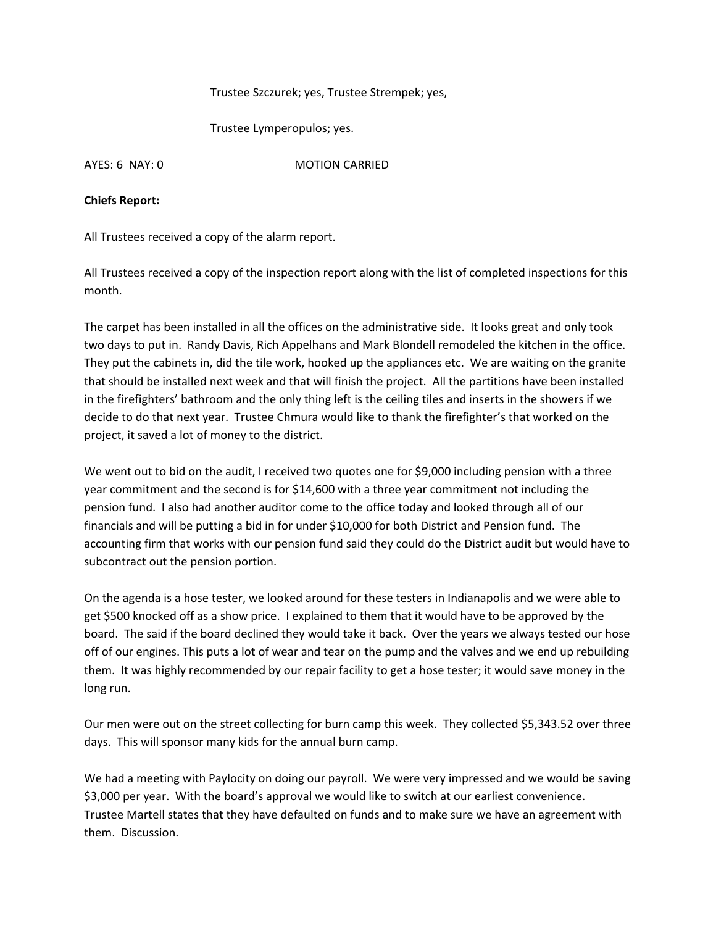## Trustee Szczurek; yes, Trustee Strempek; yes,

Trustee Lymperopulos; yes.

AYES: 6 NAY: 0 MOTION CARRIED

#### **Chiefs Report:**

All Trustees received a copy of the alarm report.

All Trustees received a copy of the inspection report along with the list of completed inspections for this month.

The carpet has been installed in all the offices on the administrative side. It looks great and only took two days to put in. Randy Davis, Rich Appelhans and Mark Blondell remodeled the kitchen in the office. They put the cabinets in, did the tile work, hooked up the appliances etc. We are waiting on the granite that should be installed next week and that will finish the project. All the partitions have been installed in the firefighters' bathroom and the only thing left is the ceiling tiles and inserts in the showers if we decide to do that next year. Trustee Chmura would like to thank the firefighter's that worked on the project, it saved a lot of money to the district.

We went out to bid on the audit, I received two quotes one for \$9,000 including pension with a three year commitment and the second is for \$14,600 with a three year commitment not including the pension fund. I also had another auditor come to the office today and looked through all of our financials and will be putting a bid in for under \$10,000 for both District and Pension fund. The accounting firm that works with our pension fund said they could do the District audit but would have to subcontract out the pension portion.

On the agenda is a hose tester, we looked around for these testers in Indianapolis and we were able to get \$500 knocked off as a show price. I explained to them that it would have to be approved by the board. The said if the board declined they would take it back. Over the years we always tested our hose off of our engines. This puts a lot of wear and tear on the pump and the valves and we end up rebuilding them. It was highly recommended by our repair facility to get a hose tester; it would save money in the long run.

Our men were out on the street collecting for burn camp this week. They collected \$5,343.52 over three days. This will sponsor many kids for the annual burn camp.

We had a meeting with Paylocity on doing our payroll. We were very impressed and we would be saving \$3,000 per year. With the board's approval we would like to switch at our earliest convenience. Trustee Martell states that they have defaulted on funds and to make sure we have an agreement with them. Discussion.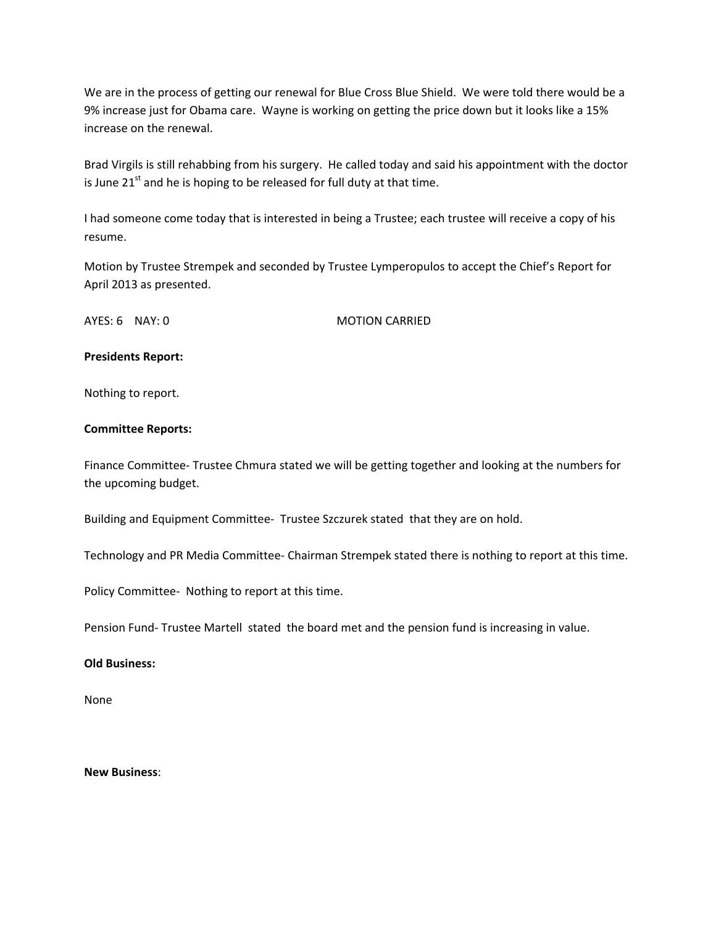We are in the process of getting our renewal for Blue Cross Blue Shield. We were told there would be a 9% increase just for Obama care. Wayne is working on getting the price down but it looks like a 15% increase on the renewal.

Brad Virgils is still rehabbing from his surgery. He called today and said his appointment with the doctor is June  $21<sup>st</sup>$  and he is hoping to be released for full duty at that time.

I had someone come today that is interested in being a Trustee; each trustee will receive a copy of his resume.

Motion by Trustee Strempek and seconded by Trustee Lymperopulos to accept the Chief's Report for April 2013 as presented.

AYES: 6 NAY: 0 MOTION CARRIED

## **Presidents Report:**

Nothing to report.

## **Committee Reports:**

Finance Committee‐ Trustee Chmura stated we will be getting together and looking at the numbers for the upcoming budget.

Building and Equipment Committee‐ Trustee Szczurek stated that they are on hold.

Technology and PR Media Committee‐ Chairman Strempek stated there is nothing to report at this time.

Policy Committee‐ Nothing to report at this time.

Pension Fund‐ Trustee Martell stated the board met and the pension fund is increasing in value.

#### **Old Business:**

None

## **New Business**: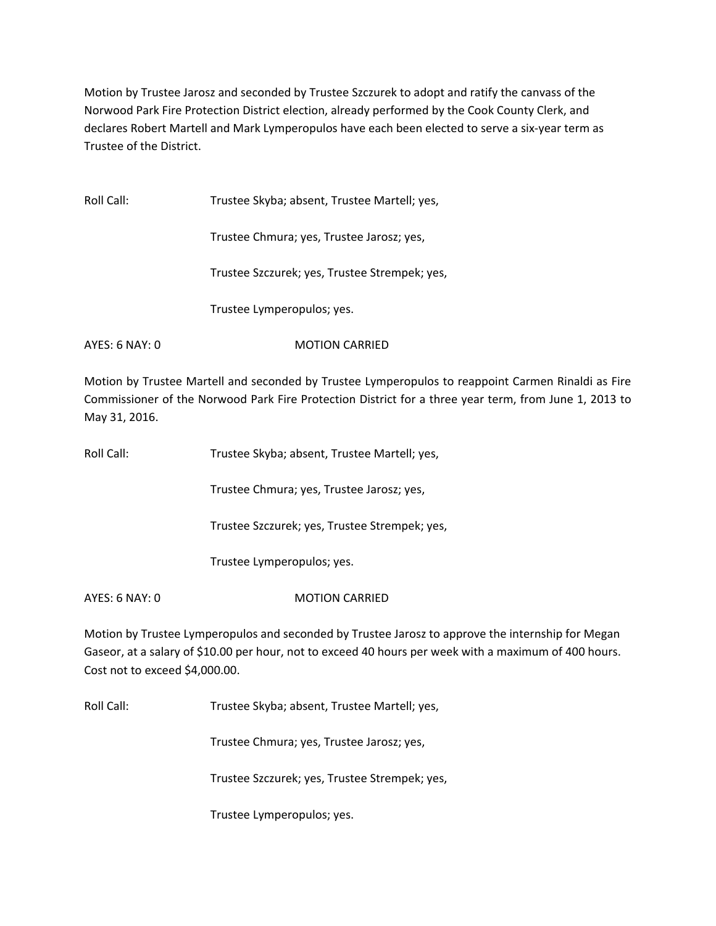Motion by Trustee Jarosz and seconded by Trustee Szczurek to adopt and ratify the canvass of the Norwood Park Fire Protection District election, already performed by the Cook County Clerk, and declares Robert Martell and Mark Lymperopulos have each been elected to serve a six‐year term as Trustee of the District.

| Roll Call:     | Trustee Skyba; absent, Trustee Martell; yes,  |
|----------------|-----------------------------------------------|
|                | Trustee Chmura; yes, Trustee Jarosz; yes,     |
|                | Trustee Szczurek; yes, Trustee Strempek; yes, |
|                | Trustee Lymperopulos; yes.                    |
| AYES: 6 NAY: 0 | <b>MOTION CARRIED</b>                         |

Motion by Trustee Martell and seconded by Trustee Lymperopulos to reappoint Carmen Rinaldi as Fire Commissioner of the Norwood Park Fire Protection District for a three year term, from June 1, 2013 to May 31, 2016.

| Roll Call:     | Trustee Skyba; absent, Trustee Martell; yes,  |
|----------------|-----------------------------------------------|
|                | Trustee Chmura; yes, Trustee Jarosz; yes,     |
|                | Trustee Szczurek; yes, Trustee Strempek; yes, |
|                | Trustee Lymperopulos; yes.                    |
| AYES: 6 NAY: 0 | <b>MOTION CARRIFD</b>                         |
|                |                                               |

Motion by Trustee Lymperopulos and seconded by Trustee Jarosz to approve the internship for Megan Gaseor, at a salary of \$10.00 per hour, not to exceed 40 hours per week with a maximum of 400 hours. Cost not to exceed \$4,000.00.

Roll Call: Trustee Skyba; absent, Trustee Martell; yes,

Trustee Chmura; yes, Trustee Jarosz; yes,

Trustee Szczurek; yes, Trustee Strempek; yes,

Trustee Lymperopulos; yes.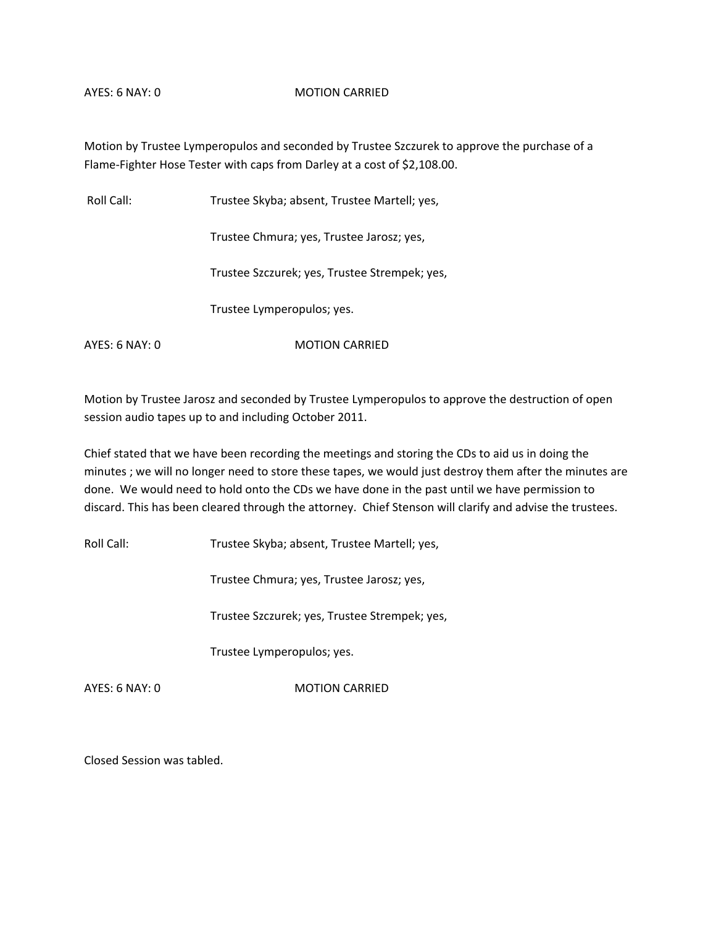#### AYES: 6 NAY: 0 MOTION CARRIED

Motion by Trustee Lymperopulos and seconded by Trustee Szczurek to approve the purchase of a Flame‐Fighter Hose Tester with caps from Darley at a cost of \$2,108.00.

Roll Call: Trustee Skyba; absent, Trustee Martell; yes,

Trustee Chmura; yes, Trustee Jarosz; yes,

Trustee Szczurek; yes, Trustee Strempek; yes,

Trustee Lymperopulos; yes.

AYES: 6 NAY: 0 MOTION CARRIED

Motion by Trustee Jarosz and seconded by Trustee Lymperopulos to approve the destruction of open session audio tapes up to and including October 2011.

Chief stated that we have been recording the meetings and storing the CDs to aid us in doing the minutes ; we will no longer need to store these tapes, we would just destroy them after the minutes are done. We would need to hold onto the CDs we have done in the past until we have permission to discard. This has been cleared through the attorney. Chief Stenson will clarify and advise the trustees.

Roll Call: Trustee Skyba; absent, Trustee Martell; yes,

Trustee Chmura; yes, Trustee Jarosz; yes,

Trustee Szczurek; yes, Trustee Strempek; yes,

Trustee Lymperopulos; yes.

AYES: 6 NAY: 0 MOTION CARRIED

Closed Session was tabled.